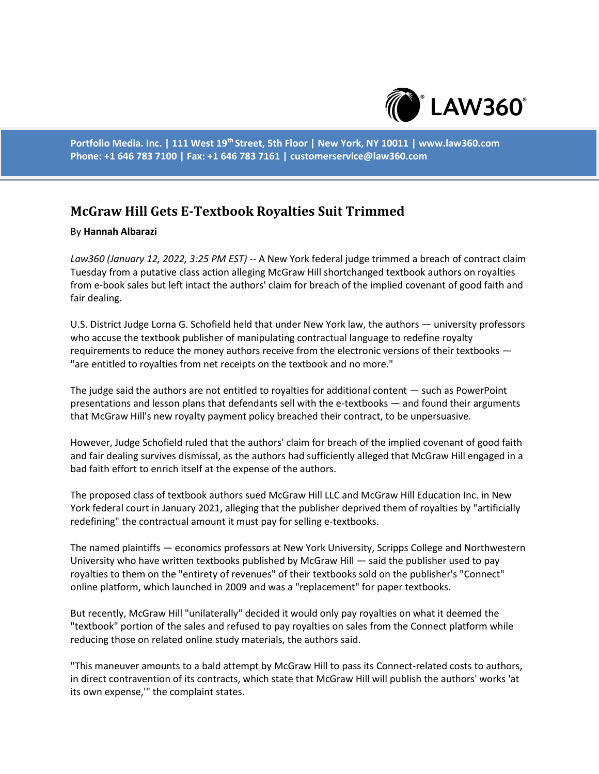

**Portfolio Media. Inc. | 111 West 19th Street, 5th Floor | New York, NY 10011 | www.law360.com Phone: +1 646 783 7100 | Fax: +1 646 783 7161 | customerservice@law360.com**

## **McGraw Hill Gets E-Textbook Royalties Suit Trimmed**

## By **Hannah Albarazi**

*Law360 (January 12, 2022, 3:25 PM EST)* -- A New York federal judge trimmed a breach of contract claim Tuesday from a putative class action alleging McGraw Hill shortchanged textbook authors on royalties from e-book sales but left intact the authors' claim for breach of the implied covenant of good faith and fair dealing.

U.S. District Judge Lorna G. Schofield held that under New York law, the authors — university professors who accuse the textbook publisher of manipulating contractual language to redefine royalty requirements to reduce the money authors receive from the electronic versions of their textbooks — "are entitled to royalties from net receipts on the textbook and no more."

The judge said the authors are not entitled to royalties for additional content — such as PowerPoint presentations and lesson plans that defendants sell with the e-textbooks — and found their arguments that McGraw Hill's new royalty payment policy breached their contract, to be unpersuasive.

However, Judge Schofield ruled that the authors' claim for breach of the implied covenant of good faith and fair dealing survives dismissal, as the authors had sufficiently alleged that McGraw Hill engaged in a bad faith effort to enrich itself at the expense of the authors.

The proposed class of textbook authors sued McGraw Hill LLC and McGraw Hill Education Inc. in New York federal court in January 2021, alleging that the publisher deprived them of royalties by "artificially redefining" the contractual amount it must pay for selling e-textbooks.

The named plaintiffs — economics professors at New York University, Scripps College and Northwestern University who have written textbooks published by McGraw Hill — said the publisher used to pay royalties to them on the "entirety of revenues" of their textbooks sold on the publisher's "Connect" online platform, which launched in 2009 and was a "replacement" for paper textbooks.

But recently, McGraw Hill "unilaterally" decided it would only pay royalties on what it deemed the "textbook" portion of the sales and refused to pay royalties on sales from the Connect platform while reducing those on related online study materials, the authors said.

"This maneuver amounts to a bald attempt by McGraw Hill to pass its Connect-related costs to authors, in direct contravention of its contracts, which state that McGraw Hill will publish the authors' works 'at its own expense,'" the complaint states.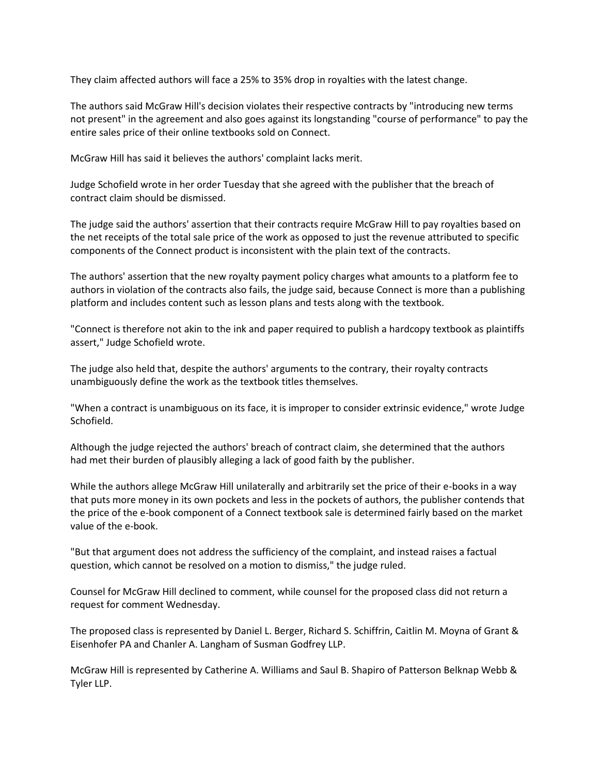They claim affected authors will face a 25% to 35% drop in royalties with the latest change.

The authors said McGraw Hill's decision violates their respective contracts by "introducing new terms not present" in the agreement and also goes against its longstanding "course of performance" to pay the entire sales price of their online textbooks sold on Connect.

McGraw Hill has said it believes the authors' complaint lacks merit.

Judge Schofield wrote in her order Tuesday that she agreed with the publisher that the breach of contract claim should be dismissed.

The judge said the authors' assertion that their contracts require McGraw Hill to pay royalties based on the net receipts of the total sale price of the work as opposed to just the revenue attributed to specific components of the Connect product is inconsistent with the plain text of the contracts.

The authors' assertion that the new royalty payment policy charges what amounts to a platform fee to authors in violation of the contracts also fails, the judge said, because Connect is more than a publishing platform and includes content such as lesson plans and tests along with the textbook.

"Connect is therefore not akin to the ink and paper required to publish a hardcopy textbook as plaintiffs assert," Judge Schofield wrote.

The judge also held that, despite the authors' arguments to the contrary, their royalty contracts unambiguously define the work as the textbook titles themselves.

"When a contract is unambiguous on its face, it is improper to consider extrinsic evidence," wrote Judge Schofield.

Although the judge rejected the authors' breach of contract claim, she determined that the authors had met their burden of plausibly alleging a lack of good faith by the publisher.

While the authors allege McGraw Hill unilaterally and arbitrarily set the price of their e-books in a way that puts more money in its own pockets and less in the pockets of authors, the publisher contends that the price of the e-book component of a Connect textbook sale is determined fairly based on the market value of the e-book.

"But that argument does not address the sufficiency of the complaint, and instead raises a factual question, which cannot be resolved on a motion to dismiss," the judge ruled.

Counsel for McGraw Hill declined to comment, while counsel for the proposed class did not return a request for comment Wednesday.

The proposed class is represented by Daniel L. Berger, Richard S. Schiffrin, Caitlin M. Moyna of Grant & Eisenhofer PA and Chanler A. Langham of Susman Godfrey LLP.

McGraw Hill is represented by Catherine A. Williams and Saul B. Shapiro of Patterson Belknap Webb & Tyler LLP.